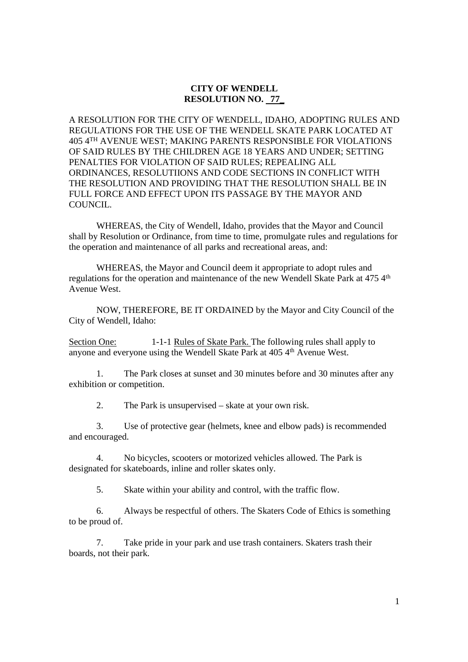## **CITY OF WENDELL RESOLUTION NO. 77\_**

A RESOLUTION FOR THE CITY OF WENDELL, IDAHO, ADOPTING RULES AND REGULATIONS FOR THE USE OF THE WENDELL SKATE PARK LOCATED AT 405 4TH AVENUE WEST; MAKING PARENTS RESPONSIBLE FOR VIOLATIONS OF SAID RULES BY THE CHILDREN AGE 18 YEARS AND UNDER; SETTING PENALTIES FOR VIOLATION OF SAID RULES; REPEALING ALL ORDINANCES, RESOLUTIIONS AND CODE SECTIONS IN CONFLICT WITH THE RESOLUTION AND PROVIDING THAT THE RESOLUTION SHALL BE IN FULL FORCE AND EFFECT UPON ITS PASSAGE BY THE MAYOR AND COUNCIL.

 WHEREAS, the City of Wendell, Idaho, provides that the Mayor and Council shall by Resolution or Ordinance, from time to time, promulgate rules and regulations for the operation and maintenance of all parks and recreational areas, and:

 WHEREAS, the Mayor and Council deem it appropriate to adopt rules and regulations for the operation and maintenance of the new Wendell Skate Park at 475 4<sup>th</sup> Avenue West.

 NOW, THEREFORE, BE IT ORDAINED by the Mayor and City Council of the City of Wendell, Idaho:

Section One: 1-1-1 Rules of Skate Park. The following rules shall apply to anyone and everyone using the Wendell Skate Park at 405 4<sup>th</sup> Avenue West.

 1. The Park closes at sunset and 30 minutes before and 30 minutes after any exhibition or competition.

2. The Park is unsupervised – skate at your own risk.

 3. Use of protective gear (helmets, knee and elbow pads) is recommended and encouraged.

 4. No bicycles, scooters or motorized vehicles allowed. The Park is designated for skateboards, inline and roller skates only.

5. Skate within your ability and control, with the traffic flow.

 6. Always be respectful of others. The Skaters Code of Ethics is something to be proud of.

 7. Take pride in your park and use trash containers. Skaters trash their boards, not their park.